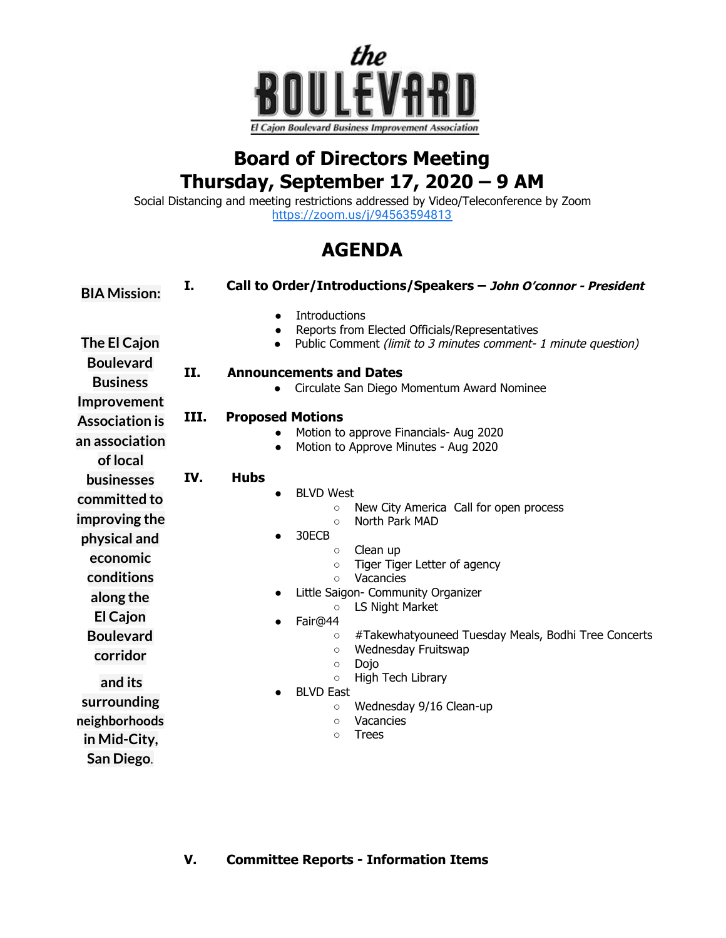

## **Board of Directors Meeting Thursday, September 17, 2020 – 9 AM**

Social Distancing and meeting restrictions addressed by Video/Teleconference by Zoom <https://zoom.us/j/94563594813>

## **AGENDA**

| <b>BIA Mission:</b>              | I.   | Call to Order/Introductions/Speakers - John O'connor - President                                                                                                   |
|----------------------------------|------|--------------------------------------------------------------------------------------------------------------------------------------------------------------------|
| The El Cajon<br><b>Boulevard</b> |      | <b>Introductions</b><br>$\bullet$<br>Reports from Elected Officials/Representatives<br>$\bullet$<br>Public Comment (limit to 3 minutes comment- 1 minute question) |
| <b>Business</b>                  | II.  | <b>Announcements and Dates</b><br>Circulate San Diego Momentum Award Nominee                                                                                       |
| Improvement                      |      |                                                                                                                                                                    |
| <b>Association is</b>            | III. | <b>Proposed Motions</b>                                                                                                                                            |
| an association                   |      | Motion to approve Financials- Aug 2020<br>Motion to Approve Minutes - Aug 2020<br>$\bullet$                                                                        |
| of local                         |      |                                                                                                                                                                    |
| <b>businesses</b>                | IV.  | <b>Hubs</b>                                                                                                                                                        |
| committed to                     |      | <b>BLVD West</b><br>$\bullet$                                                                                                                                      |
|                                  |      | New City America Call for open process<br>$\circ$                                                                                                                  |
| improving the                    |      | North Park MAD<br>$\circ$<br>30ECB                                                                                                                                 |
| physical and                     |      | Clean up<br>$\circ$                                                                                                                                                |
| economic                         |      | Tiger Tiger Letter of agency<br>$\circ$                                                                                                                            |
| conditions                       |      | Vacancies<br>$\circ$                                                                                                                                               |
| along the                        |      | Little Saigon- Community Organizer<br>$\bullet$                                                                                                                    |
| El Cajon                         |      | LS Night Market<br>$\circ$<br>Fair@44<br>$\bullet$                                                                                                                 |
| <b>Boulevard</b>                 |      | #Takewhatyouneed Tuesday Meals, Bodhi Tree Concerts<br>$\circ$                                                                                                     |
| corridor                         |      | Wednesday Fruitswap<br>$\circ$                                                                                                                                     |
|                                  |      | Dojo<br>$\circ$                                                                                                                                                    |
| and its                          |      | High Tech Library<br>$\circ$<br><b>BLVD East</b>                                                                                                                   |
| surrounding                      |      | Wednesday 9/16 Clean-up<br>$\circ$                                                                                                                                 |
| neighborhoods                    |      | Vacancies<br>$\circ$                                                                                                                                               |
| in Mid-City,                     |      | <b>Trees</b><br>$\circ$                                                                                                                                            |
| San Diego.                       |      |                                                                                                                                                                    |

## **V. Committee Reports - Information Items**